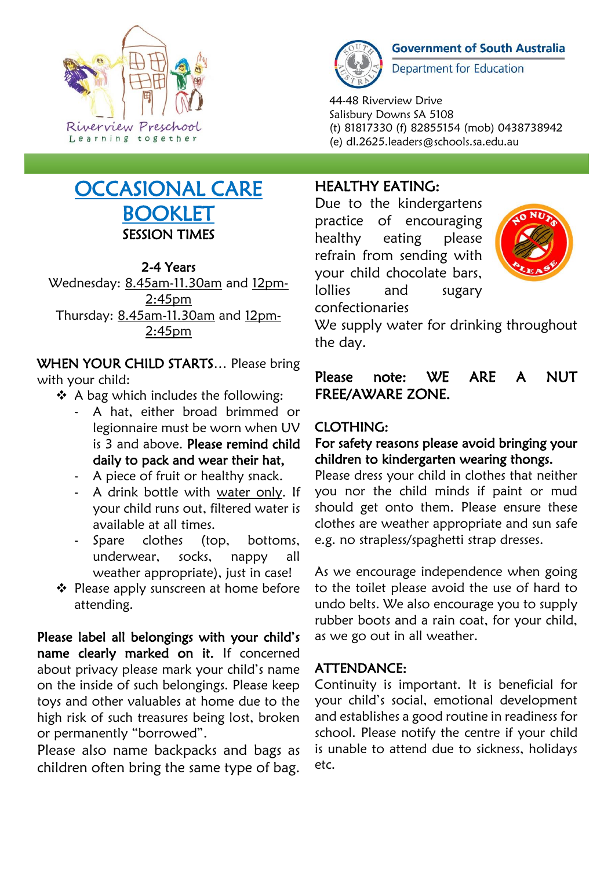

# OCCASIONAL CARE BOOKLET SESSION TIMES

# 2-4 Years

Wednesday: 8.45am-11.30am and 12pm-2:45pm Thursday: 8.45am-11.30am and 12pm-2:45pm

WHEN YOUR CHILD STARTS... Please bring with your child:

- ❖ A bag which includes the following:
	- A hat, either broad brimmed or legionnaire must be worn when UV is 3 and above. Please remind child daily to pack and wear their hat,
	- A piece of fruit or healthy snack.
	- A drink bottle with water only. If your child runs out, filtered water is available at all times.
	- Spare clothes (top, bottoms, underwear, socks, nappy all weather appropriate), just in case!
- ❖ Please apply sunscreen at home before attending.

Please label all belongings with your child's name clearly marked on it. If concerned about privacy please mark your child's name on the inside of such belongings. Please keep toys and other valuables at home due to the high risk of such treasures being lost, broken or permanently "borrowed".

Please also name backpacks and bags as children often bring the same type of bag.



**Government of South Australia** 

**Department for Education** 

44-48 Riverview Drive Salisbury Downs SA 5108 (t) 81817330 (f) 82855154 (mob) 0438738942 (e) dl.2625.leaders@schools.sa.edu.au

# HEALTHY EATING:

Due to the kindergartens practice of encouraging healthy eating please refrain from sending with your child chocolate bars, lollies and sugary confectionaries



We supply water for drinking throughout the day.

# Please note: WE ARE A NUT FREE/AWARE ZONE.

# CLOTHING:

#### For safety reasons please avoid bringing your children to kindergarten wearing thongs.

Please dress your child in clothes that neither you nor the child minds if paint or mud should get onto them. Please ensure these clothes are weather appropriate and sun safe e.g. no strapless/spaghetti strap dresses.

As we encourage independence when going to the toilet please avoid the use of hard to undo belts. We also encourage you to supply rubber boots and a rain coat, for your child, as we go out in all weather.

# ATTENDANCE:

Continuity is important. It is beneficial for your child's social, emotional development and establishes a good routine in readiness for school. Please notify the centre if your child is unable to attend due to sickness, holidays etc.